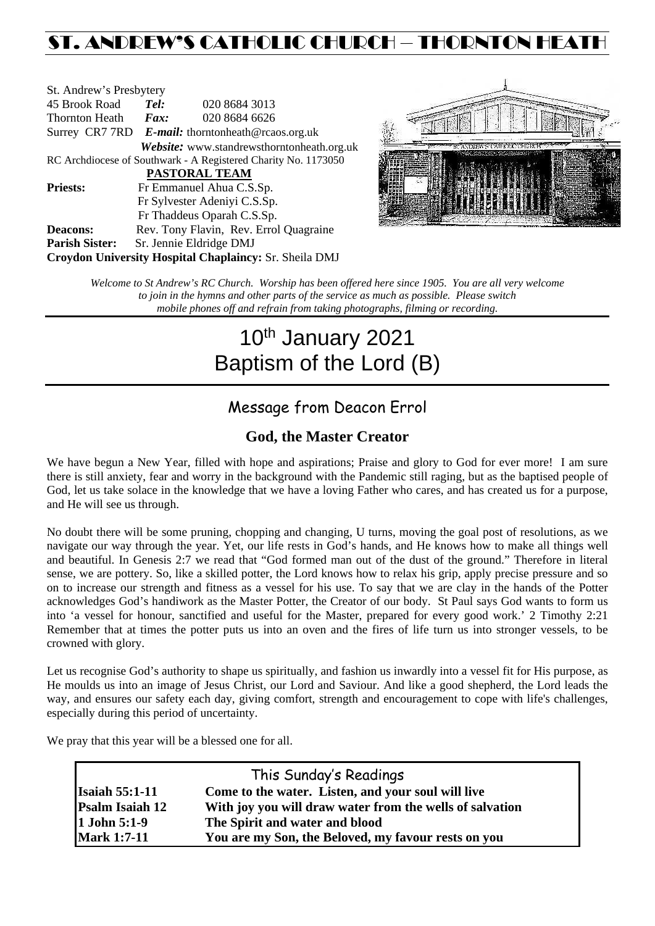## ST. ANDREW'S CATHOLIC CHURCH – THORNTON HEAT

| St. Andrew's Presbytery                                        |                                                      |                                            |  |  |  |
|----------------------------------------------------------------|------------------------------------------------------|--------------------------------------------|--|--|--|
| 45 Brook Road                                                  | Tel:                                                 | 020 8684 3013                              |  |  |  |
| Thornton Heath                                                 | $\boldsymbol{Fax:}$                                  | 020 8684 6626                              |  |  |  |
|                                                                | Surrey CR7 7RD $E$ -mail: thorntonheath@rcaos.org.uk |                                            |  |  |  |
|                                                                |                                                      | Website: www.standrewsthorntonheath.org.uk |  |  |  |
| RC Archdiocese of Southwark - A Registered Charity No. 1173050 |                                                      |                                            |  |  |  |
| <b>PASTORAL TEAM</b>                                           |                                                      |                                            |  |  |  |
| <b>Priests:</b>                                                |                                                      | Fr Emmanuel Ahua C.S.Sp.                   |  |  |  |
|                                                                |                                                      | Fr Sylvester Adeniyi C.S.Sp.               |  |  |  |
|                                                                |                                                      | Fr Thaddeus Oparah C.S.Sp.                 |  |  |  |
| <b>Deacons:</b>                                                |                                                      | Rev. Tony Flavin, Rev. Errol Quagraine     |  |  |  |
| <b>Parish Sister:</b>                                          |                                                      | Sr. Jennie Eldridge DMJ                    |  |  |  |
| <b>Croydon University Hospital Chaplaincy: Sr. Sheila DMJ</b>  |                                                      |                                            |  |  |  |



*Welcome to St Andrew's RC Church. Worship has been offered here since 1905. You are all very welcome to join in the hymns and other parts of the service as much as possible. Please switch mobile phones off and refrain from taking photographs, filming or recording.*

# 10<sup>th</sup> January 2021 Baptism of the Lord (B)

## Message from Deacon Errol

## **God, the Master Creator**

We have begun a New Year, filled with hope and aspirations; Praise and glory to God for ever more! I am sure there is still anxiety, fear and worry in the background with the Pandemic still raging, but as the baptised people of God, let us take solace in the knowledge that we have a loving Father who cares, and has created us for a purpose, and He will see us through.

No doubt there will be some pruning, chopping and changing, U turns, moving the goal post of resolutions, as we navigate our way through the year. Yet, our life rests in God's hands, and He knows how to make all things well and beautiful. In Genesis 2:7 we read that "God formed man out of the dust of the ground." Therefore in literal sense, we are pottery. So, like a skilled potter, the Lord knows how to relax his grip, apply precise pressure and so on to increase our strength and fitness as a vessel for his use. To say that we are clay in the hands of the Potter acknowledges God's handiwork as the Master Potter, the Creator of our body. St Paul says God wants to form us into 'a vessel for honour, sanctified and useful for the Master, prepared for every good work.' 2 Timothy 2:21 Remember that at times the potter puts us into an oven and the fires of life turn us into stronger vessels, to be crowned with glory.

Let us recognise God's authority to shape us spiritually, and fashion us inwardly into a vessel fit for His purpose, as He moulds us into an image of Jesus Christ, our Lord and Saviour. And like a good shepherd, the Lord leads the way, and ensures our safety each day, giving comfort, strength and encouragement to cope with life's challenges, especially during this period of uncertainty.

We pray that this year will be a blessed one for all.

| This Sunday's Readings |                                                          |  |  |  |
|------------------------|----------------------------------------------------------|--|--|--|
| <b>Isaiah 55:1-11</b>  | Come to the water. Listen, and your soul will live       |  |  |  |
| <b>Psalm Isaiah 12</b> | With joy you will draw water from the wells of salvation |  |  |  |
| 1 John 5:1-9           | The Spirit and water and blood                           |  |  |  |
| <b>Mark 1:7-11</b>     | You are my Son, the Beloved, my favour rests on you      |  |  |  |